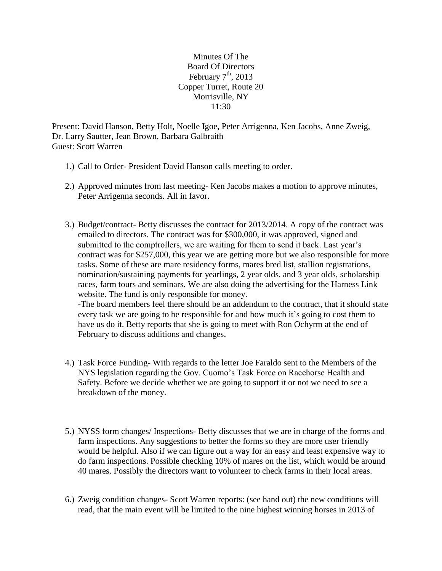Minutes Of The Board Of Directors February  $7<sup>th</sup>$ , 2013 Copper Turret, Route 20 Morrisville, NY 11:30

Present: David Hanson, Betty Holt, Noelle Igoe, Peter Arrigenna, Ken Jacobs, Anne Zweig, Dr. Larry Sautter, Jean Brown, Barbara Galbraith Guest: Scott Warren

- 1.) Call to Order- President David Hanson calls meeting to order.
- 2.) Approved minutes from last meeting- Ken Jacobs makes a motion to approve minutes, Peter Arrigenna seconds. All in favor.
- 3.) Budget/contract- Betty discusses the contract for 2013/2014. A copy of the contract was emailed to directors. The contract was for \$300,000, it was approved, signed and submitted to the comptrollers, we are waiting for them to send it back. Last year's contract was for \$257,000, this year we are getting more but we also responsible for more tasks. Some of these are mare residency forms, mares bred list, stallion registrations, nomination/sustaining payments for yearlings, 2 year olds, and 3 year olds, scholarship races, farm tours and seminars. We are also doing the advertising for the Harness Link website. The fund is only responsible for money.

-The board members feel there should be an addendum to the contract, that it should state every task we are going to be responsible for and how much it's going to cost them to have us do it. Betty reports that she is going to meet with Ron Ochyrm at the end of February to discuss additions and changes.

- 4.) Task Force Funding- With regards to the letter Joe Faraldo sent to the Members of the NYS legislation regarding the Gov. Cuomo's Task Force on Racehorse Health and Safety. Before we decide whether we are going to support it or not we need to see a breakdown of the money.
- 5.) NYSS form changes/ Inspections- Betty discusses that we are in charge of the forms and farm inspections. Any suggestions to better the forms so they are more user friendly would be helpful. Also if we can figure out a way for an easy and least expensive way to do farm inspections. Possible checking 10% of mares on the list, which would be around 40 mares. Possibly the directors want to volunteer to check farms in their local areas.
- 6.) Zweig condition changes- Scott Warren reports: (see hand out) the new conditions will read, that the main event will be limited to the nine highest winning horses in 2013 of